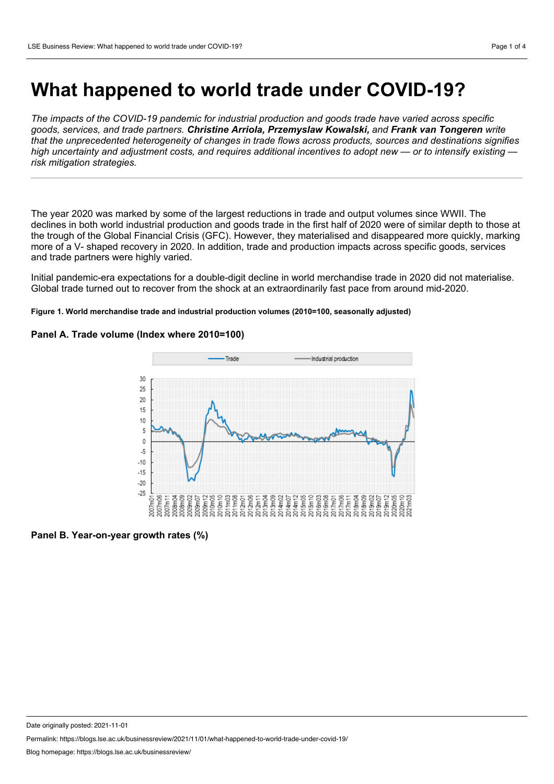# **What happened to world trade under COVID-19?**

*The impacts of the COVID-19 pandemic for industrial production and goods trade have varied across specific goods, services, and trade partners. Christine Arriola, Przemyslaw Kowalski, and Frank van Tongeren write that the unprecedented heterogeneity of changes in trade flows across products, sources and destinations signifies* high uncertainty and adjustment costs, and requires additional incentives to adopt new — or to intensify existing *risk mitigation strategies.*

The year 2020 was marked by some of the largest reductions in trade and output volumes since WWII. The declines in both world industrial production and goods trade in the first half of 2020 were of similar depth to those at the trough of the Global Financial Crisis (GFC). However, they materialised and disappeared more quickly, marking more of a V- shaped recovery in 2020. In addition, trade and production impacts across specific goods, services and trade partners were highly varied.

Initial pandemic-era expectations for a double-digit decline in world merchandise trade in 2020 did not materialise. Global trade turned out to recover from the shock at an extraordinarily fast pace from around mid-2020.

### **Figure 1. World merchandise trade and industrial production volumes (2010=100, seasonally adjusted)**



# **Panel A. Trade volume (Index where 2010=100)**

**Panel B. Year-on-year growth rates (%)**

Date originally posted: 2021-11-01

Permalink: https://blogs.lse.ac.uk/businessreview/2021/11/01/what-happened-to-world-trade-under-covid-19/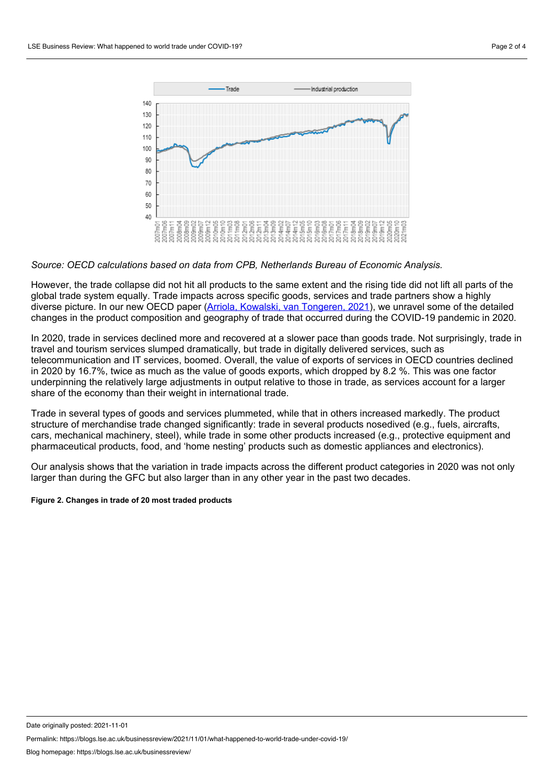

### *Source: OECD calculations based on data from CPB, Netherlands Bureau of Economic Analysis.*

However, the trade collapse did not hit all products to the same extent and the rising tide did not lift all parts of the global trade system equally. Trade impacts across specific goods, services and trade partners show a highly diverse picture. In our new OECD paper (Arriola, Kowalski, van [Tongeren,](https://www.oecd-ilibrary.org/trade/the-impact-of-covid-19-on-directions-and-structure-of-international-trade_0b8eaafe-en) 2021), we unravel some of the detailed changes in the product composition and geography of trade that occurred during the COVID-19 pandemic in 2020.

In 2020, trade in services declined more and recovered at a slower pace than goods trade. Not surprisingly, trade in travel and tourism services slumped dramatically, but trade in digitally delivered services, such as telecommunication and IT services, boomed. Overall, the value of exports of services in OECD countries declined in 2020 by 16.7%, twice as much as the value of goods exports, which dropped by 8.2 %. This was one factor underpinning the relatively large adjustments in output relative to those in trade, as services account for a larger share of the economy than their weight in international trade.

Trade in several types of goods and services plummeted, while that in others increased markedly. The product structure of merchandise trade changed significantly: trade in several products nosedived (e.g., fuels, aircrafts, cars, mechanical machinery, steel), while trade in some other products increased (e.g., protective equipment and pharmaceutical products, food, and 'home nesting' products such as domestic appliances and electronics).

Our analysis shows that the variation in trade impacts across the different product categories in 2020 was not only larger than during the GFC but also larger than in any other year in the past two decades.

#### **Figure 2. Changes in trade of 20 most traded products**

Date originally posted: 2021-11-01

Permalink: https://blogs.lse.ac.uk/businessreview/2021/11/01/what-happened-to-world-trade-under-covid-19/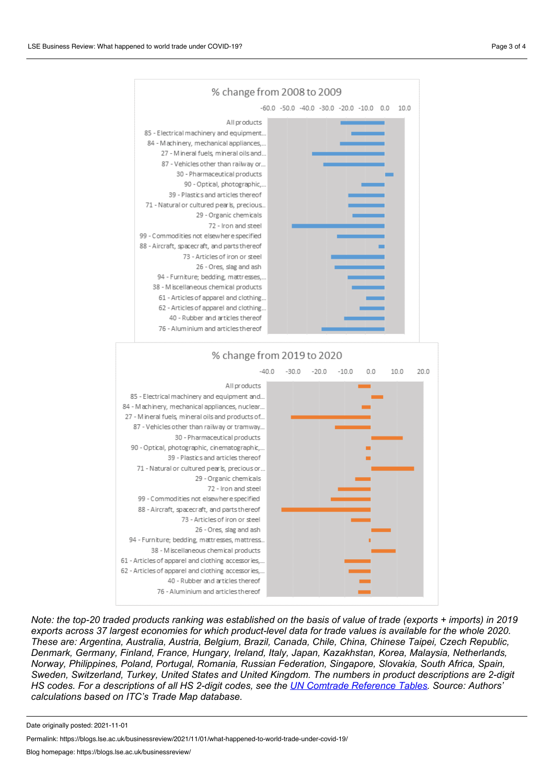

Note: the top-20 traded products ranking was established on the basis of value of trade (exports + imports) in 2019 exports across 37 largest economies for which product-level data for trade values is available for the whole 2020. *These are: Argentina, Australia, Austria, Belgium, Brazil, Canada, Chile, China, Chinese Taipei, Czech Republic, Denmark, Germany, Finland, France, Hungary, Ireland, Italy, Japan, Kazakhstan, Korea, Malaysia, Netherlands, Norway, Philippines, Poland, Portugal, Romania, Russian Federation, Singapore, Slovakia, South Africa, Spain, Sweden, Switzerland, Turkey, United States and United Kingdom. The numbers in product descriptions are 2-digit* HS codes. For a descriptions of all HS 2-digit codes, see the **UN Comtrade [Reference](https://unstats.un.org/unsd/tradekb/Knowledgebase/50039/UN-Comtrade-Reference-Tables) Tables**. Source: Authors' *calculations based on ITC's Trade Map database.*

Date originally posted: 2021-11-01

Permalink: https://blogs.lse.ac.uk/businessreview/2021/11/01/what-happened-to-world-trade-under-covid-19/

Blog homepage: https://blogs.lse.ac.uk/businessreview/